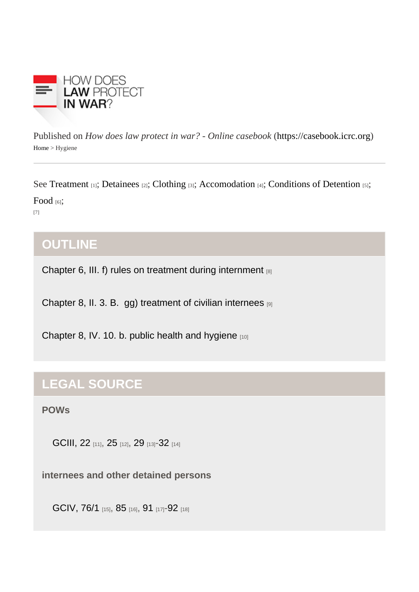Published on How does law protect in war? - Online caseb[ook](https://casebook.icrc.org) that is://casebook.icrc.org Home> Hygiene

Se[e Treatmen](https://casebook.icrc.org/glossary/treatment)t<sub>1]</sub>; [Detainee](https://casebook.icrc.org/glossary/detainees)s<sub>2]</sub>; [Clothing](https://casebook.icrc.org/glossary/clothing)<sub>[3]</sub>; [Accomodation](https://casebook.icrc.org/glossary/accommodation)<sub>4]</sub>; [Conditions of Detentio](https://casebook.icrc.org/glossary/conditions-detention)n<sub>3</sub>;

[Food](https://casebook.icrc.org/glossary/food)<sub>[6]</sub>;

[7]

# **OUTLINE**

[Chapter 6, III. f\) rules on treatment during internment](https://casebook.icrc.org/law/combatants-and-pows#iii_f) [8]

[Chapter 8, II. 3. B. gg\) treatment of civilian internees](https://casebook.icrc.org/law/civilian-population#ii_3_b_gg) [9]

[Chapter 8, IV. 10. b. public health and hygiene](https://casebook.icrc.org/law/civilian-population#iv_10_b) [10]

# LEGAL SOURCE

POWs

[GCIII, 22](https://www.icrc.org/applic/ihl/ihl.nsf/Article.xsp?action=openDocument&documentId=2EC4EDF33D483B15C12563CD0051AC47) [11], [25](https://www.icrc.org/applic/ihl/ihl.nsf/Article.xsp?action=openDocument&documentId=05888105F467757BC12563CD0051AC82) [12], [29](https://www.icrc.org/applic/ihl/ihl.nsf/Article.xsp?action=openDocument&documentId=4E1A40A392683CECC12563CD0051ACD6) [13][-32](https://www.icrc.org/applic/ihl/ihl.nsf/Article.xsp?action=openDocument&documentId=5EB9C8552856EEBEC12563CD0051AD1B) [14]

internees and other detained persons

[GCIV, 76/1](https://www.icrc.org/applic/ihl/ihl.nsf/Article.xsp?action=openDocument&documentId=076982CDB0849904C12563CD0051BFFD) [15], [85](https://www.icrc.org/applic/ihl/ihl.nsf/Article.xsp?action=openDocument&documentId=96B5BA81516E8562C12563CD0051C0A6) [16], [91](https://www.icrc.org/applic/ihl/ihl.nsf/Article.xsp?action=openDocument&documentId=FC9B39FD21B8C9D8C12563CD0051C13B) [17][-92](https://www.icrc.org/applic/ihl/ihl.nsf/Article.xsp?action=openDocument&documentId=42C4E3DFE6821BFDC12563CD0051C15B) [18]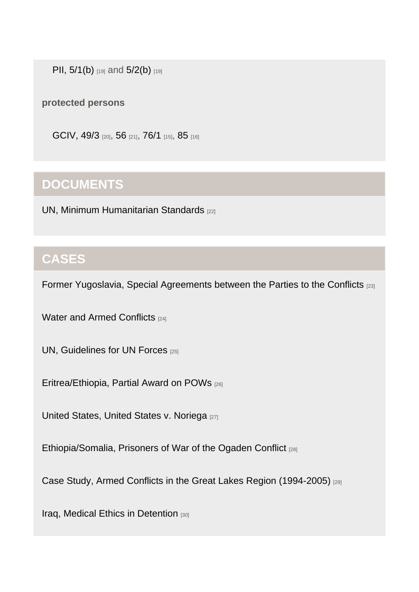[PII, 5/1\(b\)](https://www.icrc.org/applic/ihl/ihl.nsf/Article.xsp?action=openDocument&documentId=2739F5E7A6BD992CC12563CD0051E7B6) [19] and [5/2\(b\)](https://www.icrc.org/applic/ihl/ihl.nsf/Article.xsp?action=openDocument&documentId=2739F5E7A6BD992CC12563CD0051E7B6) [19]

protected persons

[GCIV, 49/3](https://www.icrc.org/applic/ihl/ihl.nsf/Article.xsp?action=openDocument&documentId=77068F12B8857C4DC12563CD0051BDB0) [20], [56](https://www.icrc.org/applic/ihl/ihl.nsf/Article.xsp?action=openDocument&documentId=AD2F7F5D8CF955AFC12563CD0051BE51) [21], [76/1](https://www.icrc.org/applic/ihl/ihl.nsf/Article.xsp?action=openDocument&documentId=076982CDB0849904C12563CD0051BFFD) [15], [85](https://www.icrc.org/applic/ihl/ihl.nsf/Article.xsp?action=openDocument&documentId=96B5BA81516E8562C12563CD0051C0A6) [16]

## **DOCUMENTS**

[UN, Minimum Humanitarian Standards](https://casebook.icrc.org/case-study/un-minimum-humanitarian-standards) [22]

## **CASES**

[Former Yugoslavia, Special Agreements between the Parties to the Conflicts](https://casebook.icrc.org/case-study/former-yugoslavia-special-agreements-between-parties-conflicts) [23]

[Water and Armed Conflicts](https://casebook.icrc.org/case-study/water-and-armed-conflicts) [24]

[UN, Guidelines for UN Forces](https://casebook.icrc.org/case-study/un-guidelines-un-forces) [25]

[Eritrea/Ethiopia, Partial Award on POWs](https://casebook.icrc.org/case-study/eritreaethiopia-partial-award-pows) [26]

[United States, United States v. Noriega](https://casebook.icrc.org/case-study/united-states-united-states-v-noriega) [27]

[Ethiopia/Somalia, Prisoners of War of the Ogaden Conflict](https://casebook.icrc.org/case-study/ethiopiasomalia-prisoners-war-ogaden-conflict) [28]

[Case Study, Armed Conflicts in the Great Lakes Region \(1994-2005\)](https://casebook.icrc.org/case-study/case-study-armed-conflicts-great-lakes-region-1994-2005) [29]

[Iraq, Medical Ethics in Detention](https://casebook.icrc.org/case-study/iraq-medical-ethics-detention) [30]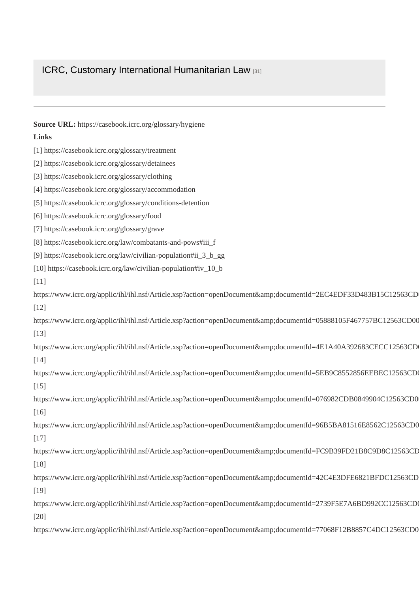#### [ICRC, Customary International Humanitarian Law](https://casebook.icrc.org/case-study/icrc-customary-international-humanitarian-law) [31]

| Source URL: https://casebook.icrc.org/glossary/hygiene                                                  |
|---------------------------------------------------------------------------------------------------------|
| Links                                                                                                   |
| [1] https://casebook.icrc.org/glossary/treatment                                                        |
| [2] https://casebook.icrc.org/glossary/detainees                                                        |
| [3] https://casebook.icrc.org/glossary/clothing                                                         |
| [4] https://casebook.icrc.org/glossary/accommodation                                                    |
| [5] https://casebook.icrc.org/glossary/conditions-detention                                             |
| [6] https://casebook.icrc.org/glossary/food                                                             |
| [7] https://casebook.icrc.org/glossary/grave                                                            |
| [8] https://casebook.icrc.org/law/combatants-and-pows#iii_f                                             |
| [9] https://casebook.icrc.org/law/civilian-population#ii_3_b_gg                                         |
| [10] https://casebook.icrc.org/law/civilian-population#iv_10_b                                          |
| $[11]$                                                                                                  |
| https://www.icrc.org/applic/ihl/ihl.nsf/Article.xsp?action=openDocument&documentId=2EC4EDF33D483B15C12  |
| $[12]$                                                                                                  |
| https://www.icrc.org/applic/ihl/ihl.nsf/Article.xsp?action=openDocument&documentId=05888105F467757BC125 |
| $[13]$                                                                                                  |
| https://www.icrc.org/applic/ihl/ihl.nsf/Article.xsp?action=openDocument&documentId=4E1A40A392683CECC12  |
| $[14]$                                                                                                  |
| https://www.icrc.org/applic/ihl/ihl.nsf/Article.xsp?action=openDocument&documentId=5EB9C8552856EEBEC12  |
| $[15]$                                                                                                  |
| https://www.icrc.org/applic/ihl/ihl.nsf/Article.xsp?action=openDocument&documentId=076982CDB0849904C12  |
| $[16]$                                                                                                  |
| https://www.icrc.org/applic/ihl/ihl.nsf/Article.xsp?action=openDocument&documentId=96B5BA81516E8562C12  |
| $[17]$                                                                                                  |
| https://www.icrc.org/applic/ihl/ihl.nsf/Article.xsp?action=openDocument&documentId=FC9B39FD21B8C9D8C1.  |
| $[18]$                                                                                                  |
| https://www.icrc.org/applic/ihl/ihl.nsf/Article.xsp?action=openDocument&documentId=42C4E3DFE6821BFDC11  |
| $[19]$                                                                                                  |
| https://www.icrc.org/applic/ihl/ihl.nsf/Article.xsp?action=openDocument&documentId=2739F5E7A6BD992CC12  |
| $[20]$                                                                                                  |
| https://www.icrc.org/applic/ihl/ihl.nsf/Article.xsp?action=openDocument&documentId=77068F12B8857C4DC12  |